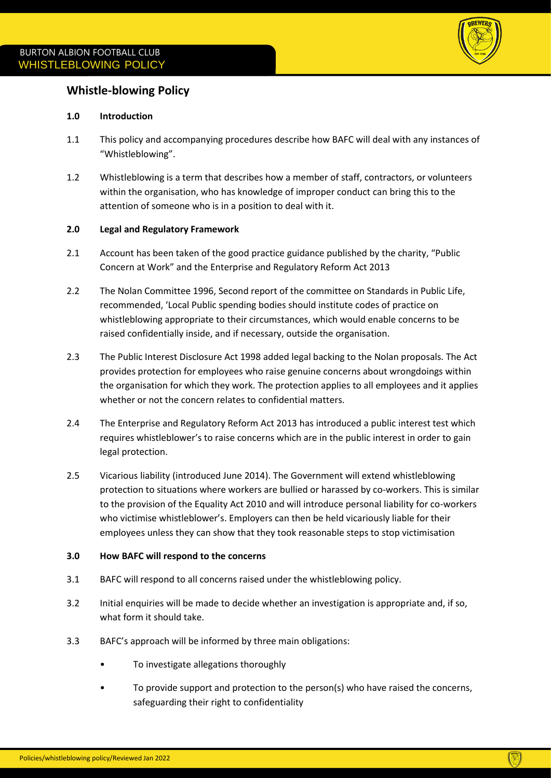

# **Whistle-blowing Policy**

## **1.0 Introduction**

- 1.1 This policy and accompanying procedures describe how BAFC will deal with any instances of "Whistleblowing".
- 1.2 Whistleblowing is a term that describes how a member of staff, contractors, or volunteers within the organisation, who has knowledge of improper conduct can bring this to the attention of someone who is in a position to deal with it.

## **2.0 Legal and Regulatory Framework**

- 2.1 Account has been taken of the good practice guidance published by the charity, "Public Concern at Work" and the Enterprise and Regulatory Reform Act 2013
- 2.2 The Nolan Committee 1996, Second report of the committee on Standards in Public Life, recommended, 'Local Public spending bodies should institute codes of practice on whistleblowing appropriate to their circumstances, which would enable concerns to be raised confidentially inside, and if necessary, outside the organisation.
- 2.3 The Public Interest Disclosure Act 1998 added legal backing to the Nolan proposals. The Act provides protection for employees who raise genuine concerns about wrongdoings within the organisation for which they work. The protection applies to all employees and it applies whether or not the concern relates to confidential matters.
- 2.4 The Enterprise and Regulatory Reform Act 2013 has introduced a public interest test which requires whistleblower's to raise concerns which are in the public interest in order to gain legal protection.
- 2.5 Vicarious liability (introduced June 2014). The Government will extend whistleblowing protection to situations where workers are bullied or harassed by co-workers. This is similar to the provision of the Equality Act 2010 and will introduce personal liability for co-workers who victimise whistleblower's. Employers can then be held vicariously liable for their employees unless they can show that they took reasonable steps to stop victimisation

#### **3.0 How BAFC will respond to the concerns**

- 3.1 BAFC will respond to all concerns raised under the whistleblowing policy.
- 3.2 Initial enquiries will be made to decide whether an investigation is appropriate and, if so, what form it should take.
- 3.3 BAFC's approach will be informed by three main obligations:
	- To investigate allegations thoroughly
	- To provide support and protection to the person(s) who have raised the concerns, safeguarding their right to confidentiality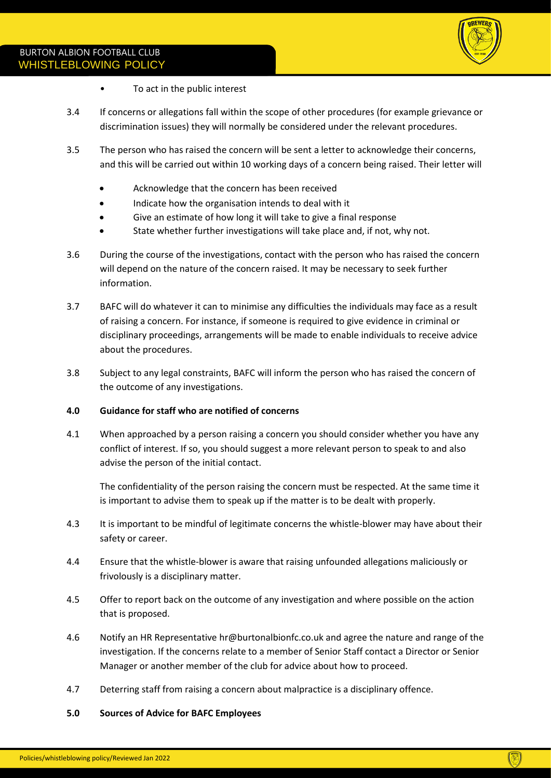

- To act in the public interest
- 3.4 If concerns or allegations fall within the scope of other procedures (for example grievance or discrimination issues) they will normally be considered under the relevant procedures.
- 3.5 The person who has raised the concern will be sent a letter to acknowledge their concerns, and this will be carried out within 10 working days of a concern being raised. Their letter will
	- Acknowledge that the concern has been received
	- Indicate how the organisation intends to deal with it
	- Give an estimate of how long it will take to give a final response
	- State whether further investigations will take place and, if not, why not.
- 3.6 During the course of the investigations, contact with the person who has raised the concern will depend on the nature of the concern raised. It may be necessary to seek further information.
- 3.7 BAFC will do whatever it can to minimise any difficulties the individuals may face as a result of raising a concern. For instance, if someone is required to give evidence in criminal or disciplinary proceedings, arrangements will be made to enable individuals to receive advice about the procedures.
- 3.8 Subject to any legal constraints, BAFC will inform the person who has raised the concern of the outcome of any investigations.

## **4.0 Guidance for staff who are notified of concerns**

4.1 When approached by a person raising a concern you should consider whether you have any conflict of interest. If so, you should suggest a more relevant person to speak to and also advise the person of the initial contact.

The confidentiality of the person raising the concern must be respected. At the same time it is important to advise them to speak up if the matter is to be dealt with properly.

- 4.3 It is important to be mindful of legitimate concerns the whistle-blower may have about their safety or career.
- 4.4 Ensure that the whistle-blower is aware that raising unfounded allegations maliciously or frivolously is a disciplinary matter.
- 4.5 Offer to report back on the outcome of any investigation and where possible on the action that is proposed.
- 4.6 Notify an HR Representative hr@burtonalbionfc.co.uk and agree the nature and range of the investigation. If the concerns relate to a member of Senior Staff contact a Director or Senior Manager or another member of the club for advice about how to proceed.
- 4.7 Deterring staff from raising a concern about malpractice is a disciplinary offence.

#### **5.0 Sources of Advice for BAFC Employees**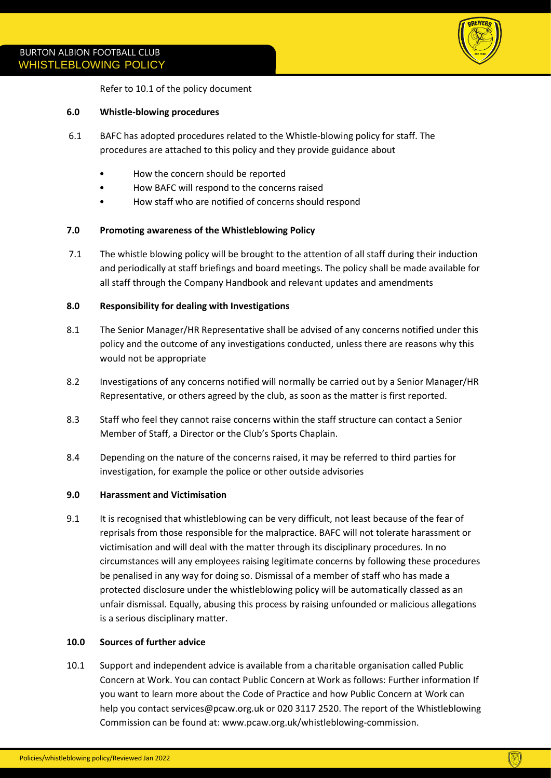

Refer to 10.1 of the policy document

#### **6.0 Whistle-blowing procedures**

- 6.1 BAFC has adopted procedures related to the Whistle-blowing policy for staff. The procedures are attached to this policy and they provide guidance about
	- How the concern should be reported
	- How BAFC will respond to the concerns raised
	- How staff who are notified of concerns should respond

#### **7.0 Promoting awareness of the Whistleblowing Policy**

7.1 The whistle blowing policy will be brought to the attention of all staff during their induction and periodically at staff briefings and board meetings. The policy shall be made available for all staff through the Company Handbook and relevant updates and amendments

#### **8.0 Responsibility for dealing with Investigations**

- 8.1 The Senior Manager/HR Representative shall be advised of any concerns notified under this policy and the outcome of any investigations conducted, unless there are reasons why this would not be appropriate
- 8.2 Investigations of any concerns notified will normally be carried out by a Senior Manager/HR Representative, or others agreed by the club, as soon as the matter is first reported.
- 8.3 Staff who feel they cannot raise concerns within the staff structure can contact a Senior Member of Staff, a Director or the Club's Sports Chaplain.
- 8.4 Depending on the nature of the concerns raised, it may be referred to third parties for investigation, for example the police or other outside advisories

#### **9.0 Harassment and Victimisation**

9.1 It is recognised that whistleblowing can be very difficult, not least because of the fear of reprisals from those responsible for the malpractice. BAFC will not tolerate harassment or victimisation and will deal with the matter through its disciplinary procedures. In no circumstances will any employees raising legitimate concerns by following these procedures be penalised in any way for doing so. Dismissal of a member of staff who has made a protected disclosure under the whistleblowing policy will be automatically classed as an unfair dismissal. Equally, abusing this process by raising unfounded or malicious allegations is a serious disciplinary matter.

## **10.0 Sources of further advice**

10.1 Support and independent advice is available from a charitable organisation called Public Concern at Work. You can contact Public Concern at Work as follows: Further information If you want to learn more about the Code of Practice and how Public Concern at Work can help you contact services@pcaw.org.uk or 020 3117 2520. The report of the Whistleblowing Commission can be found at: www.pcaw.org.uk/whistleblowing-commission.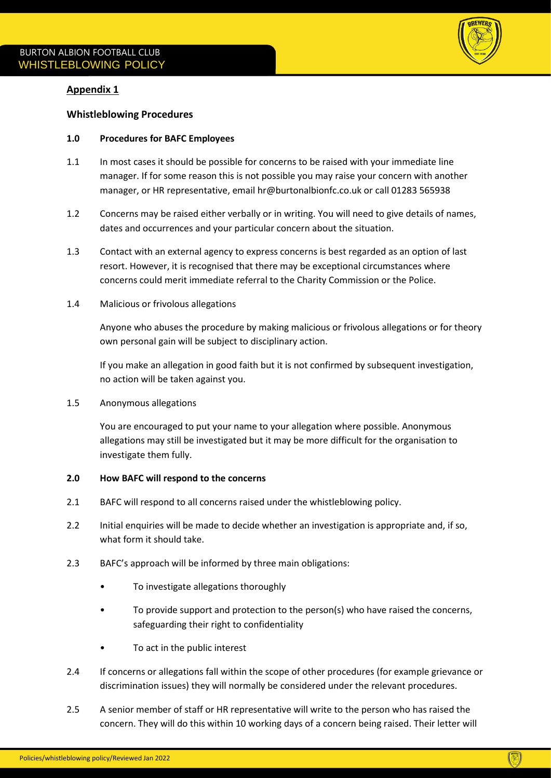

### **Appendix 1**

### **Whistleblowing Procedures**

### **1.0 Procedures for BAFC Employees**

- 1.1 In most cases it should be possible for concerns to be raised with your immediate line manager. If for some reason this is not possible you may raise your concern with another manager, or HR representative, email [hr@burtonalbionfc.co.uk](mailto:hr@burtonalbionfc.co.uk) or call 01283 565938
- 1.2 Concerns may be raised either verbally or in writing. You will need to give details of names, dates and occurrences and your particular concern about the situation.
- 1.3 Contact with an external agency to express concerns is best regarded as an option of last resort. However, it is recognised that there may be exceptional circumstances where concerns could merit immediate referral to the Charity Commission or the Police.
- 1.4 Malicious or frivolous allegations

Anyone who abuses the procedure by making malicious or frivolous allegations or for theory own personal gain will be subject to disciplinary action.

If you make an allegation in good faith but it is not confirmed by subsequent investigation, no action will be taken against you.

1.5 Anonymous allegations

You are encouraged to put your name to your allegation where possible. Anonymous allegations may still be investigated but it may be more difficult for the organisation to investigate them fully.

#### **2.0 How BAFC will respond to the concerns**

- 2.1 BAFC will respond to all concerns raised under the whistleblowing policy.
- 2.2 Initial enquiries will be made to decide whether an investigation is appropriate and, if so, what form it should take.
- 2.3 BAFC's approach will be informed by three main obligations:
	- To investigate allegations thoroughly
	- To provide support and protection to the person(s) who have raised the concerns, safeguarding their right to confidentiality
	- To act in the public interest
- 2.4 If concerns or allegations fall within the scope of other procedures (for example grievance or discrimination issues) they will normally be considered under the relevant procedures.
- 2.5 A senior member of staff or HR representative will write to the person who has raised the concern. They will do this within 10 working days of a concern being raised. Their letter will